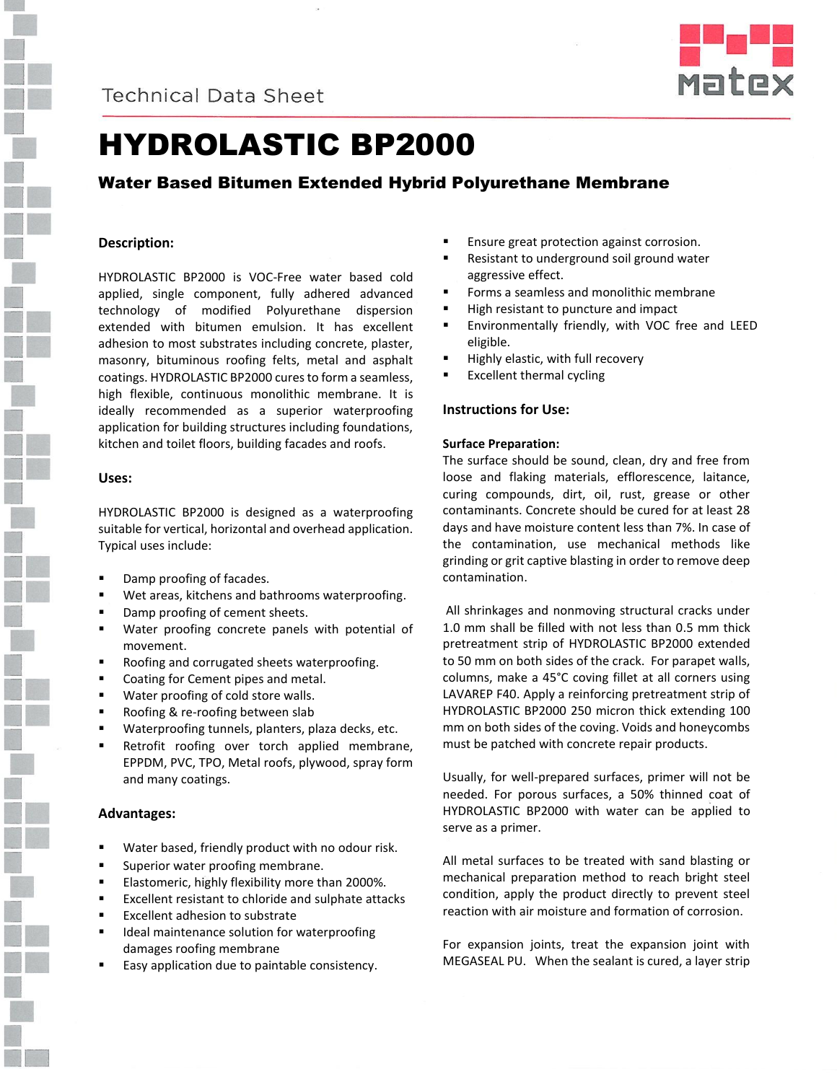



# HYDROLASTIC BP2000

## Water Based Bitumen Extended Hybrid Polyurethane Membrane

## **Description:**

HYDROLASTIC BP2000 is VOC-Free water based cold applied, single component, fully adhered advanced technology of modified Polyurethane dispersion extended with bitumen emulsion. It has excellent adhesion to most substrates including concrete, plaster, masonry, bituminous roofing felts, metal and asphalt coatings. HYDROLASTIC BP2000 cures to form a seamless, high flexible, continuous monolithic membrane. It is ideally recommended as a superior waterproofing application for building structures including foundations, kitchen and toilet floors, building facades and roofs.

## **Uses:**

HYDROLASTIC BP2000 is designed as a waterproofing suitable for vertical, horizontal and overhead application. Typical uses include:

- Damp proofing of facades.
- Wet areas, kitchens and bathrooms waterproofing.
- Damp proofing of cement sheets.
- Water proofing concrete panels with potential of movement.
- Roofing and corrugated sheets waterproofing.
- Coating for Cement pipes and metal.
- **Water proofing of cold store walls.**
- **Roofing & re-roofing between slab**
- Waterproofing tunnels, planters, plaza decks, etc.
- Retrofit roofing over torch applied membrane, EPPDM, PVC, TPO, Metal roofs, plywood, spray form and many coatings.

## **Advantages:**

- **Water based, friendly product with no odour risk.**
- **Superior water proofing membrane.**
- **Elastomeric, highly flexibility more than 2000%.**
- Excellent resistant to chloride and sulphate attacks
- **Excellent adhesion to substrate**
- Ideal maintenance solution for waterproofing damages roofing membrane
- Easy application due to paintable consistency.
- Ensure great protection against corrosion.
- Resistant to underground soil ground water aggressive effect.
- Forms a seamless and monolithic membrane
- High resistant to puncture and impact
- Environmentally friendly, with VOC free and LEED eligible.
- Highly elastic, with full recovery
- Excellent thermal cycling

## **Instructions for Use:**

## **Surface Preparation:**

The surface should be sound, clean, dry and free from loose and flaking materials, efflorescence, laitance, curing compounds, dirt, oil, rust, grease or other contaminants. Concrete should be cured for at least 28 days and have moisture content less than 7%. In case of the contamination, use mechanical methods like grinding or grit captive blasting in order to remove deep contamination.

 All shrinkages and nonmoving structural cracks under 1.0 mm shall be filled with not less than 0.5 mm thick pretreatment strip of HYDROLASTIC BP2000 extended to 50 mm on both sides of the crack. For parapet walls, columns, make a 45°C coving fillet at all corners using LAVAREP F40. Apply a reinforcing pretreatment strip of HYDROLASTIC BP2000 250 micron thick extending 100 mm on both sides of the coving. Voids and honeycombs must be patched with concrete repair products.

Usually, for well-prepared surfaces, primer will not be needed. For porous surfaces, a 50% thinned coat of HYDROLASTIC BP2000 with water can be applied to serve as a primer.

All metal surfaces to be treated with sand blasting or mechanical preparation method to reach bright steel condition, apply the product directly to prevent steel reaction with air moisture and formation of corrosion.

For expansion joints, treat the expansion joint with MEGASEAL PU. When the sealant is cured, a layer strip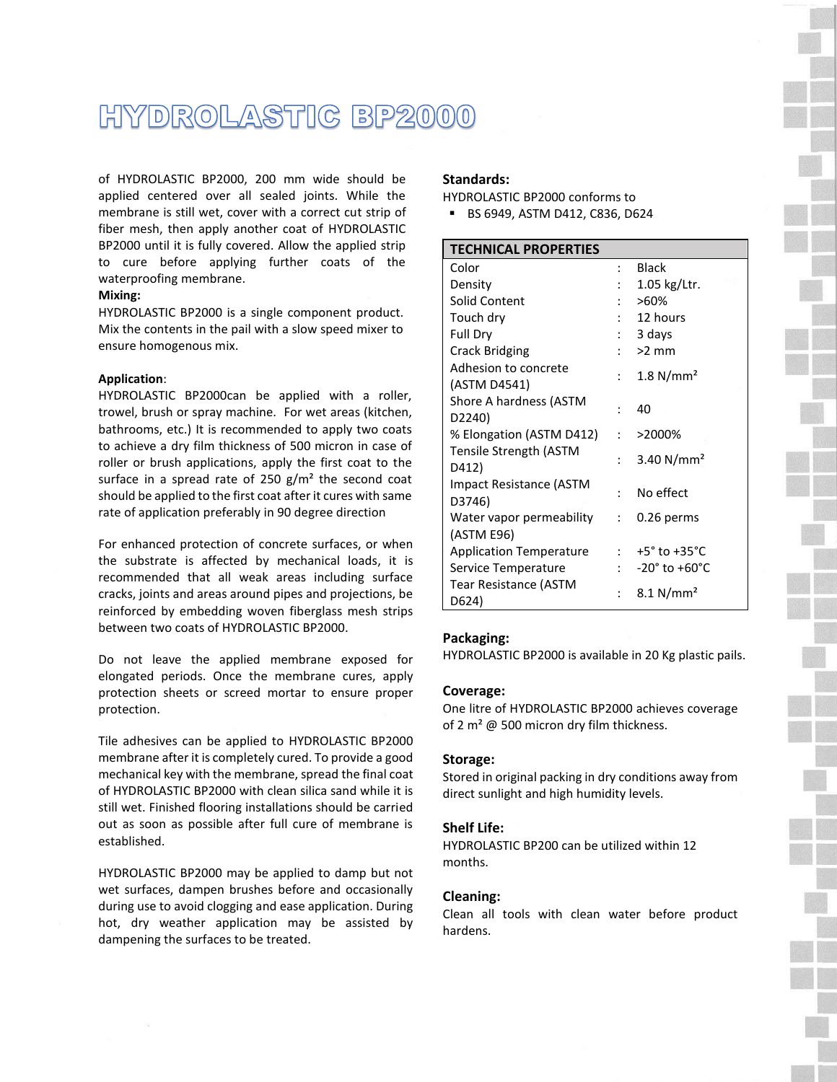## HYDROLASTIC BP2000

of HYDROLASTIC BP2000, 200 mm wide should be applied centered over all sealed joints. While the membrane is still wet, cover with a correct cut strip of fiber mesh, then apply another coat of HYDROLASTIC BP2000 until it is fully covered. Allow the applied strip to cure before applying further coats of the waterproofing membrane.

### **Mixing:**

HYDROLASTIC BP2000 is a single component product. Mix the contents in the pail with a slow speed mixer to ensure homogenous mix.

#### **Application**:

HYDROLASTIC BP2000can be applied with a roller, trowel, brush or spray machine. For wet areas (kitchen, bathrooms, etc.) It is recommended to apply two coats to achieve a dry film thickness of 500 micron in case of roller or brush applications, apply the first coat to the surface in a spread rate of 250  $g/m^2$  the second coat should be applied to the first coat after it cures with same rate of application preferably in 90 degree direction

For enhanced protection of concrete surfaces, or when the substrate is affected by mechanical loads, it is recommended that all weak areas including surface cracks, joints and areas around pipes and projections, be reinforced by embedding woven fiberglass mesh strips between two coats of HYDROLASTIC BP2000.

Do not leave the applied membrane exposed for elongated periods. Once the membrane cures, apply protection sheets or screed mortar to ensure proper protection.

Tile adhesives can be applied to HYDROLASTIC BP2000 membrane after it is completely cured. To provide a good mechanical key with the membrane, spread the final coat of HYDROLASTIC BP2000 with clean silica sand while it is still wet. Finished flooring installations should be carried out as soon as possible after full cure of membrane is established.

HYDROLASTIC BP2000 may be applied to damp but not wet surfaces, dampen brushes before and occasionally during use to avoid clogging and ease application. During hot, dry weather application may be assisted by dampening the surfaces to be treated.

#### **Standards:**

HYDROLASTIC BP2000 conforms to

BS 6949, ASTM D412, C836, D624

| <b>TECHNICAL PROPERTIES</b>                   |                           |                                      |  |
|-----------------------------------------------|---------------------------|--------------------------------------|--|
| Color                                         | ٠                         | <b>Black</b>                         |  |
| Density                                       |                           | $1.05$ kg/Ltr.                       |  |
| Solid Content                                 |                           | $>60\%$                              |  |
| Touch dry                                     | $\mathbb{R}^{\mathbb{Z}}$ | 12 hours                             |  |
| Full Dry                                      |                           | 3 days                               |  |
| <b>Crack Bridging</b>                         |                           | $\frac{1}{2}$ >2 mm                  |  |
| Adhesion to concrete<br>(ASTM D4541)          | $\ddot{\cdot}$            | 1.8 N/mm <sup>2</sup>                |  |
| Shore A hardness (ASTM<br>D <sub>2240</sub> ) |                           | 40                                   |  |
| % Elongation (ASTM D412)                      | $\mathcal{L}$             | >2000%                               |  |
| Tensile Strength (ASTM<br>D412)               | $\ddot{\cdot}$            | 3.40 $N/mm^2$                        |  |
| Impact Resistance (ASTM<br>D3746)             | ۰.,                       | No effect                            |  |
| Water vapor permeability<br>(ASTM E96)        | $\mathcal{L}$             | 0.26 perms                           |  |
| <b>Application Temperature</b>                |                           | $: 7 + 5^{\circ}$ to $+35^{\circ}$ C |  |
| Service Temperature                           |                           | $-20^\circ$ to $+60^\circ$ C         |  |
| Tear Resistance (ASTM<br>D624)                |                           | $8.1 \text{ N/mm}^2$                 |  |

#### **Packaging:**

HYDROLASTIC BP2000 is available in 20 Kg plastic pails.

#### **Coverage:**

One litre of HYDROLASTIC BP2000 achieves coverage of 2  $m^2$  @ 500 micron dry film thickness.

#### **Storage:**

Stored in original packing in dry conditions away from direct sunlight and high humidity levels.

### **Shelf Life:**

HYDROLASTIC BP200 can be utilized within 12 months.

#### **Cleaning:**

Clean all tools with clean water before product hardens.